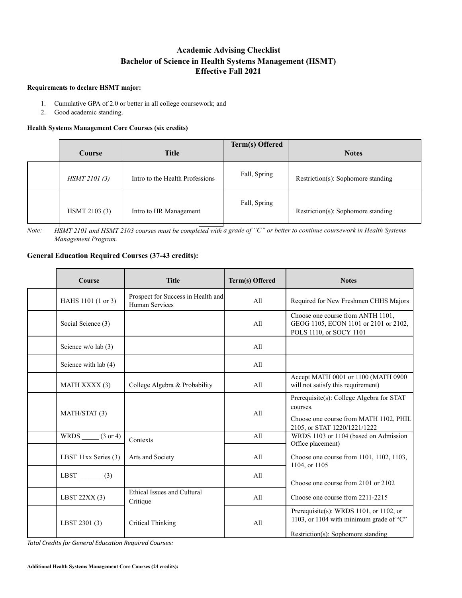## **Academic Advising Checklist Bachelor of Science in Health Systems Management (HSMT) Effective Fall 2021**

## **Requirements to declare HSMT major:**

- 1. Cumulative GPA of 2.0 or better in all college coursework; and
- 2. Good academic standing.

## **Health Systems Management Core Courses (six credits)**

| Course        | <b>Title</b>                    | <b>Term(s) Offered</b> | <b>Notes</b>                       |
|---------------|---------------------------------|------------------------|------------------------------------|
| HSMT 2101 (3) | Intro to the Health Professions | Fall, Spring           | Restriction(s): Sophomore standing |
| HSMT 2103 (3) | Intro to HR Management          | Fall, Spring           | Restriction(s): Sophomore standing |

*Note: HSMT 2101 and HSMT 2103 courses must be completed with a grade of "C" or better to continue coursework in Health Systems Management Program.*

## **General Education Required Courses (37-43 credits):**

| Course                   | <b>Title</b>                                         | Term(s) Offered | <b>Notes</b>                                                                                                                    |
|--------------------------|------------------------------------------------------|-----------------|---------------------------------------------------------------------------------------------------------------------------------|
| HAHS 1101 (1 or 3)       | Prospect for Success in Health and<br>Human Services | A11             | Required for New Freshmen CHHS Majors                                                                                           |
| Social Science (3)       |                                                      | All             | Choose one course from ANTH 1101,<br>GEOG 1105, ECON 1101 or 2101 or 2102,<br>POLS 1110, or SOCY 1101                           |
| Science $w/o$ lab (3)    |                                                      | All             |                                                                                                                                 |
| Science with lab (4)     |                                                      | All             |                                                                                                                                 |
| <b>MATH XXXX (3)</b>     | College Algebra & Probability                        | A11             | Accept MATH 0001 or 1100 (MATH 0900<br>will not satisfy this requirement)                                                       |
| MATH/STAT (3)            |                                                      | A11             | Prerequisite(s): College Algebra for STAT<br>courses.<br>Choose one course from MATH 1102, PHIL<br>2105, or STAT 1220/1221/1222 |
| WRDS $(3 \text{ or } 4)$ | Contexts                                             | A11             | WRDS 1103 or 1104 (based on Admission<br>Office placement)                                                                      |
| LBST 11xx Series (3)     | Arts and Society                                     | All             | Choose one course from 1101, 1102, 1103,<br>1104, or 1105                                                                       |
| LBST $(3)$               |                                                      | All             | Choose one course from 2101 or 2102                                                                                             |
| LBST $22XX(3)$           | Ethical Issues and Cultural<br>Critique              | All             | Choose one course from 2211-2215                                                                                                |
| LBST 2301 (3)            | <b>Critical Thinking</b>                             | All             | Prerequisite(s): WRDS 1101, or 1102, or<br>1103, or 1104 with minimum grade of "C"<br>Restriction(s): Sophomore standing        |

**Total Credits for General Education Required Courses:**